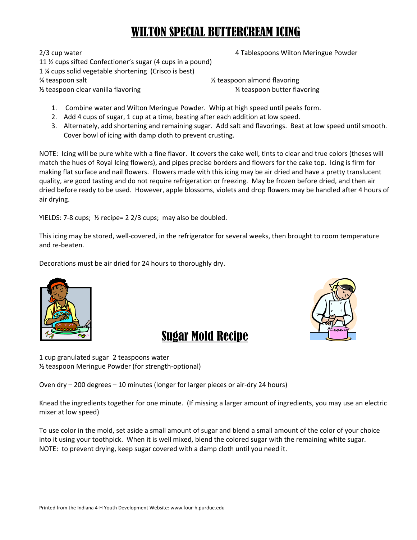## WILTON SPECIAL BUTTERCREAM ICING

2/3 cup water **120 a. 2012 12:3 cup water and the state of the state of the state of the state of the state of the state of the state of the state of the state of the state of the state of the state of the state of the sta** 

11 ½ cups sifted Confectioner's sugar (4 cups in a pound) 1 ¼ cups solid vegetable shortening (Crisco is best)  $\frac{3}{4}$  teaspoon salt  $\frac{1}{2}$  teaspoon almond flavoring ½ teaspoon clear vanilla flavoring ¼ teaspoon butter flavoring

- 1. Combine water and Wilton Meringue Powder. Whip at high speed until peaks form.
- 2. Add 4 cups of sugar, 1 cup at a time, beating after each addition at low speed.
- 3. Alternately, add shortening and remaining sugar. Add salt and flavorings. Beat at low speed until smooth. Cover bowl of icing with damp cloth to prevent crusting.

NOTE: Icing will be pure white with a fine flavor. It covers the cake well, tints to clear and true colors (theses will match the hues of Royal Icing flowers), and pipes precise borders and flowers for the cake top. Icing is firm for making flat surface and nail flowers. Flowers made with this icing may be air dried and have a pretty translucent quality, are good tasting and do not require refrigeration or freezing. May be frozen before dried, and then air dried before ready to be used. However, apple blossoms, violets and drop flowers may be handled after 4 hours of air drying.

YIELDS: 7-8 cups;  $\frac{1}{2}$  recipe= 2 2/3 cups; may also be doubled.

This icing may be stored, well‐covered, in the refrigerator for several weeks, then brought to room temperature and re‐beaten.

Decorations must be air dried for 24 hours to thoroughly dry.





1 cup granulated sugar 2 teaspoons water ½ teaspoon Meringue Powder (for strength‐optional)

Oven dry – 200 degrees – 10 minutes (longer for larger pieces or air‐dry 24 hours)

Knead the ingredients together for one minute. (If missing a larger amount of ingredients, you may use an electric mixer at low speed)

Sugar Mold Recipe

To use color in the mold, set aside a small amount of sugar and blend a small amount of the color of your choice into it using your toothpick. When it is well mixed, blend the colored sugar with the remaining white sugar. NOTE: to prevent drying, keep sugar covered with a damp cloth until you need it.